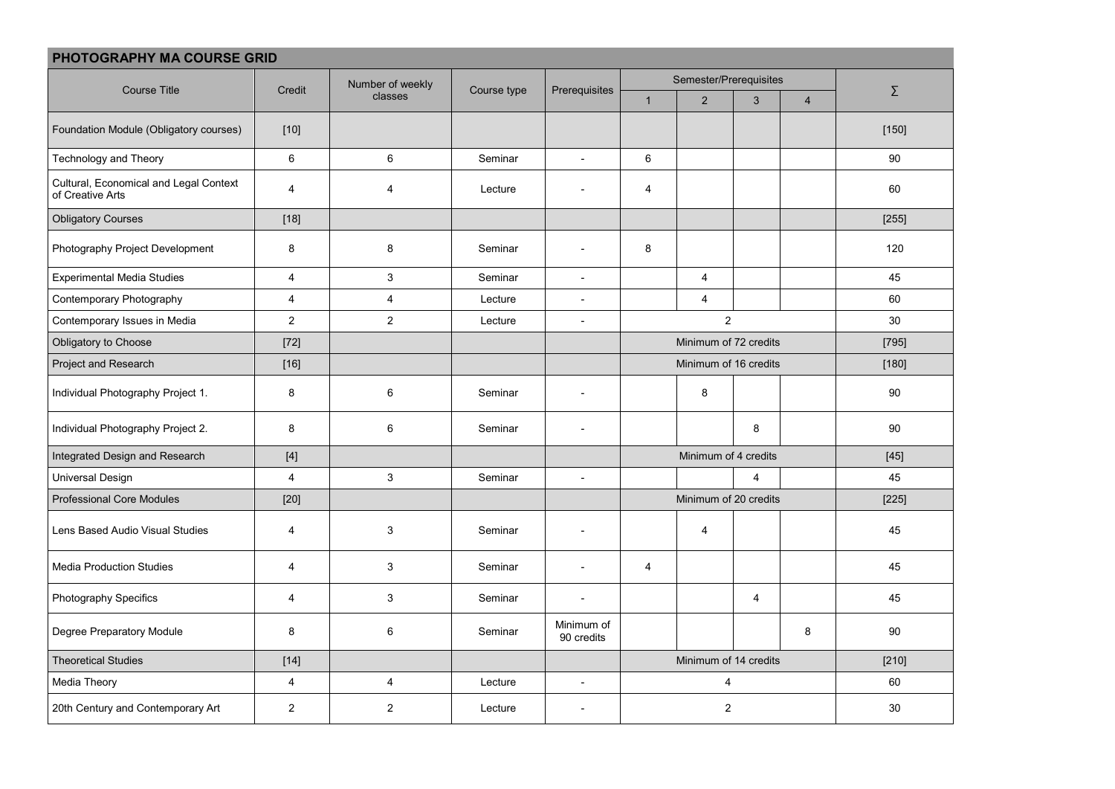| PHOTOGRAPHY MA COURSE GRID                                 |                                                                                                                                                                                                                                                                                                                                                                                                                                                                                                                                                                                                                                                       |                             |             |                          |                        |                       |                |                |         |  |
|------------------------------------------------------------|-------------------------------------------------------------------------------------------------------------------------------------------------------------------------------------------------------------------------------------------------------------------------------------------------------------------------------------------------------------------------------------------------------------------------------------------------------------------------------------------------------------------------------------------------------------------------------------------------------------------------------------------------------|-----------------------------|-------------|--------------------------|------------------------|-----------------------|----------------|----------------|---------|--|
| <b>Course Title</b>                                        | Credit                                                                                                                                                                                                                                                                                                                                                                                                                                                                                                                                                                                                                                                | Number of weekly<br>classes | Course type | Prerequisites            | Semester/Prerequisites |                       |                |                |         |  |
|                                                            |                                                                                                                                                                                                                                                                                                                                                                                                                                                                                                                                                                                                                                                       |                             |             |                          | $\overline{1}$         | 2                     | $\mathbf{3}$   | $\overline{4}$ | Σ       |  |
| Foundation Module (Obligatory courses)                     | $[10]$                                                                                                                                                                                                                                                                                                                                                                                                                                                                                                                                                                                                                                                |                             |             |                          |                        |                       |                |                | [150]   |  |
| Technology and Theory                                      | 6                                                                                                                                                                                                                                                                                                                                                                                                                                                                                                                                                                                                                                                     | 6                           | Seminar     | $\mathbb{L}$             | $\,6\,$                |                       |                |                | 90      |  |
| Cultural, Economical and Legal Context<br>of Creative Arts | $\overline{4}$                                                                                                                                                                                                                                                                                                                                                                                                                                                                                                                                                                                                                                        | $\overline{4}$              | Lecture     | $\overline{\phantom{a}}$ | $\overline{4}$         |                       |                |                | 60      |  |
| <b>Obligatory Courses</b>                                  | $[18]$                                                                                                                                                                                                                                                                                                                                                                                                                                                                                                                                                                                                                                                |                             |             |                          |                        |                       |                |                | $[255]$ |  |
| Photography Project Development                            | 8                                                                                                                                                                                                                                                                                                                                                                                                                                                                                                                                                                                                                                                     | 8                           | Seminar     | $\overline{\phantom{a}}$ | 8                      |                       |                |                | 120     |  |
| <b>Experimental Media Studies</b>                          | 4                                                                                                                                                                                                                                                                                                                                                                                                                                                                                                                                                                                                                                                     | 3                           | Seminar     | $\overline{\phantom{a}}$ |                        | $\overline{4}$        |                |                | 45      |  |
| Contemporary Photography                                   | 4                                                                                                                                                                                                                                                                                                                                                                                                                                                                                                                                                                                                                                                     | $\overline{4}$              | Lecture     | $\overline{\phantom{a}}$ |                        | $\overline{4}$        |                |                | 60      |  |
| Contemporary Issues in Media                               | $\overline{c}$                                                                                                                                                                                                                                                                                                                                                                                                                                                                                                                                                                                                                                        | $\overline{2}$              | Lecture     | $\overline{\phantom{a}}$ | $\overline{c}$         |                       |                |                | 30      |  |
| Obligatory to Choose                                       | $[72]$                                                                                                                                                                                                                                                                                                                                                                                                                                                                                                                                                                                                                                                |                             |             |                          |                        | Minimum of 72 credits | $[795]$        |                |         |  |
| Project and Research                                       | $[16]$                                                                                                                                                                                                                                                                                                                                                                                                                                                                                                                                                                                                                                                |                             |             |                          | Minimum of 16 credits  |                       |                |                | [180]   |  |
| Individual Photography Project 1.                          | 8                                                                                                                                                                                                                                                                                                                                                                                                                                                                                                                                                                                                                                                     | 6                           | Seminar     | $\overline{\phantom{a}}$ |                        | 8                     |                |                | $90\,$  |  |
| Individual Photography Project 2.                          | 8                                                                                                                                                                                                                                                                                                                                                                                                                                                                                                                                                                                                                                                     | 6                           | Seminar     |                          |                        |                       | 8              |                | 90      |  |
| Integrated Design and Research                             | $[4] % \begin{center} \includegraphics[width=\linewidth]{imagesSupplemental/Imetad-Architecture.png} \end{center} % \caption { % \textit{DefNet} and { \textit{DefNet}~Supplemental} and { \textit{DefNet}~Supplemental} are used in the image. % \textit{DefNet}~Supplemental and { \textit{DefNet}~Supplemental} are used in the image. % \textit{DefNet}~Supplemental and { \textit{DefNet}~Supplemental} are used in the image. % \textit{DefNet}~Supplemental and { \textit{DefNet}~Supplemental} are used in the image. % \textit{DefNet}~Supplemental and { \textit{DefNet}~Supplemental} are used in the image. % \textit{DefNet}~Supplement$ |                             |             |                          | Minimum of 4 credits   |                       |                |                | $[45]$  |  |
| <b>Universal Design</b>                                    | $\overline{4}$                                                                                                                                                                                                                                                                                                                                                                                                                                                                                                                                                                                                                                        | 3                           | Seminar     | $\overline{\phantom{a}}$ |                        |                       | $\overline{4}$ |                | 45      |  |
| <b>Professional Core Modules</b>                           | $[20]$                                                                                                                                                                                                                                                                                                                                                                                                                                                                                                                                                                                                                                                |                             |             |                          | Minimum of 20 credits  |                       |                |                | [225]   |  |
| Lens Based Audio Visual Studies                            | 4                                                                                                                                                                                                                                                                                                                                                                                                                                                                                                                                                                                                                                                     | 3                           | Seminar     | $\overline{\phantom{a}}$ |                        | $\overline{4}$        |                |                | 45      |  |
| <b>Media Production Studies</b>                            | 4                                                                                                                                                                                                                                                                                                                                                                                                                                                                                                                                                                                                                                                     | 3                           | Seminar     | $\overline{a}$           | $\overline{4}$         |                       |                |                | 45      |  |
| Photography Specifics                                      | $\overline{4}$                                                                                                                                                                                                                                                                                                                                                                                                                                                                                                                                                                                                                                        | 3                           | Seminar     |                          |                        |                       | $\overline{4}$ |                | 45      |  |
| Degree Preparatory Module                                  | 8                                                                                                                                                                                                                                                                                                                                                                                                                                                                                                                                                                                                                                                     | 6                           | Seminar     | Minimum of<br>90 credits |                        |                       |                | 8              | 90      |  |
| <b>Theoretical Studies</b>                                 | $[14]$                                                                                                                                                                                                                                                                                                                                                                                                                                                                                                                                                                                                                                                |                             |             |                          |                        | Minimum of 14 credits | $[210]$        |                |         |  |
| Media Theory                                               | $\overline{\mathbf{4}}$                                                                                                                                                                                                                                                                                                                                                                                                                                                                                                                                                                                                                               | 4                           | Lecture     | $\overline{\phantom{a}}$ |                        | 4                     | 60             |                |         |  |
| 20th Century and Contemporary Art                          | 2                                                                                                                                                                                                                                                                                                                                                                                                                                                                                                                                                                                                                                                     | 2                           | Lecture     |                          | $\overline{2}$         |                       |                |                | 30      |  |